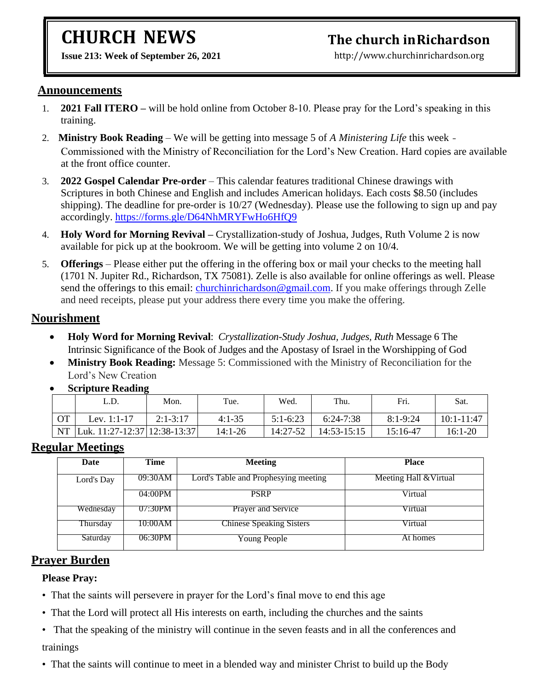# **CHURCH NEWS**

**Issue 213: Week of September 26, 2021** 

## **The church inRichardson**

[http://www.churchinrichardson.org](http://www.churchinrichardson.org/)

#### **Announcements**

- 1. **2021 Fall ITERO –** will be hold online from October 8-10. Please pray for the Lord's speaking in this training.
- 2. **Ministry Book Reading** We will be getting into message 5 of *A Ministering Life* this week Commissioned with the Ministry of Reconciliation for the Lord's New Creation. Hard copies are available at the front office counter.
- 3. **2022 Gospel Calendar Pre-order** This calendar features traditional Chinese drawings with Scriptures in both Chinese and English and includes American holidays. Each costs \$8.50 (includes shipping). The deadline for pre-order is 10/27 (Wednesday). Please use the following to sign up and pay accordingly.<https://forms.gle/D64NhMRYFwHo6HfQ9>
- 4. **Holy Word for Morning Revival –** Crystallization-study of Joshua, Judges, Ruth Volume 2 is now available for pick up at the bookroom. We will be getting into volume 2 on 10/4.
- 5. **Offerings** Please either put the offering in the offering box or mail your checks to the meeting hall (1701 N. Jupiter Rd., Richardson, TX 75081). Zelle is also available for online offerings as well. Please send the offerings to this email: [churchinrichardson@gmail.com.](mailto:churchinrichardson@gmail.com) If you make offerings through Zelle and need receipts, please put your address there every time you make the offering.

#### **Nourishment**

- **Holy Word for Morning Revival**: *Crystallization-Study Joshua, Judges, Ruth* Message 6 The Intrinsic Significance of the Book of Judges and the Apostasy of Israel in the Worshipping of God
- **Ministry Book Reading:** Message 5: Commissioned with the Ministry of Reconciliation for the Lord's New Creation

|           | L.D.                         | Mon.       | Tue.     | Wed.       | Thu.        | Fri.         | Sat.           |
|-----------|------------------------------|------------|----------|------------|-------------|--------------|----------------|
| <b>OT</b> | Lev. 1:1-17                  | $2:1-3:17$ | $4:1-35$ | $5:1-6:23$ | 6:24-7:38   | $8:1 - 9:24$ | $10:1 - 11:47$ |
| NT        | Luk. 11:27-12:37 12:38-13:37 |            | 14:1-26  | 14:27-52   | 14:53-15:15 | 15:16-47     | $16:1-20$      |

• **Scripture Reading**

#### **Regular Meetings**

| Date       | Time    | <b>Meeting</b>                       | <b>Place</b>           |
|------------|---------|--------------------------------------|------------------------|
| Lord's Day | 09:30AM | Lord's Table and Prophesying meeting | Meeting Hall & Virtual |
|            | 04:00PM | <b>PSRP</b>                          | Virtual                |
| Wednesday  | 07:30PM | Prayer and Service                   | Virtual                |
| Thursday   | 10:00AM | <b>Chinese Speaking Sisters</b>      | Virtual                |
| Saturday   | 06:30PM | <b>Young People</b>                  | At homes               |

#### **Prayer Burden**

#### **Please Pray:**

- That the saints will persevere in prayer for the Lord's final move to end this age
- That the Lord will protect all His interests on earth, including the churches and the saints
- That the speaking of the ministry will continue in the seven feasts and in all the conferences and trainings
- That the saints will continue to meet in a blended way and minister Christ to build up the Body